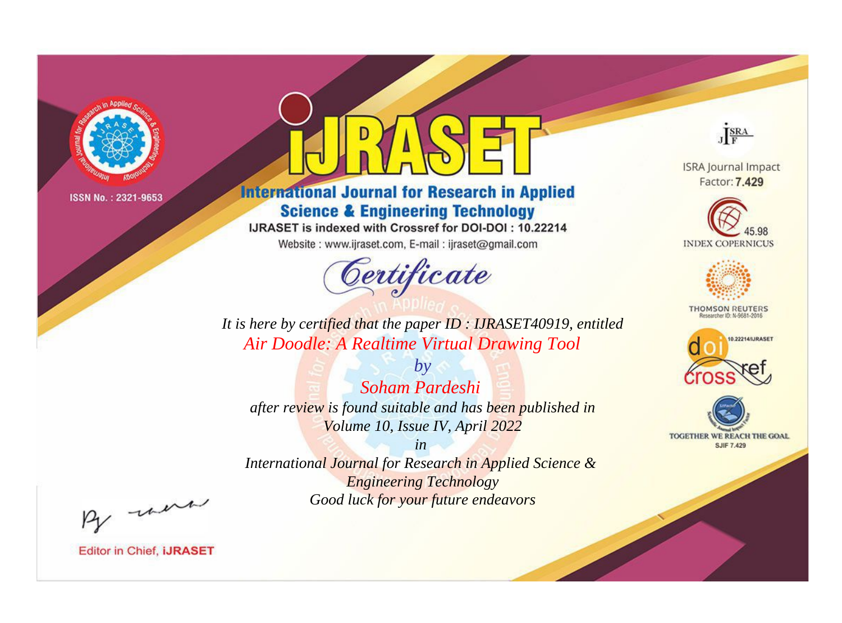

# **International Journal for Research in Applied Science & Engineering Technology**

IJRASET is indexed with Crossref for DOI-DOI: 10.22214

Website: www.ijraset.com, E-mail: ijraset@gmail.com



JERA

**ISRA Journal Impact** Factor: 7.429





**THOMSON REUTERS** 



TOGETHER WE REACH THE GOAL **SJIF 7.429** 

*It is here by certified that the paper ID : IJRASET40919, entitled Air Doodle: A Realtime Virtual Drawing Tool*

*Soham Pardeshi after review is found suitable and has been published in Volume 10, Issue IV, April 2022*

*by*

*in* 

*International Journal for Research in Applied Science & Engineering Technology Good luck for your future endeavors*

By morn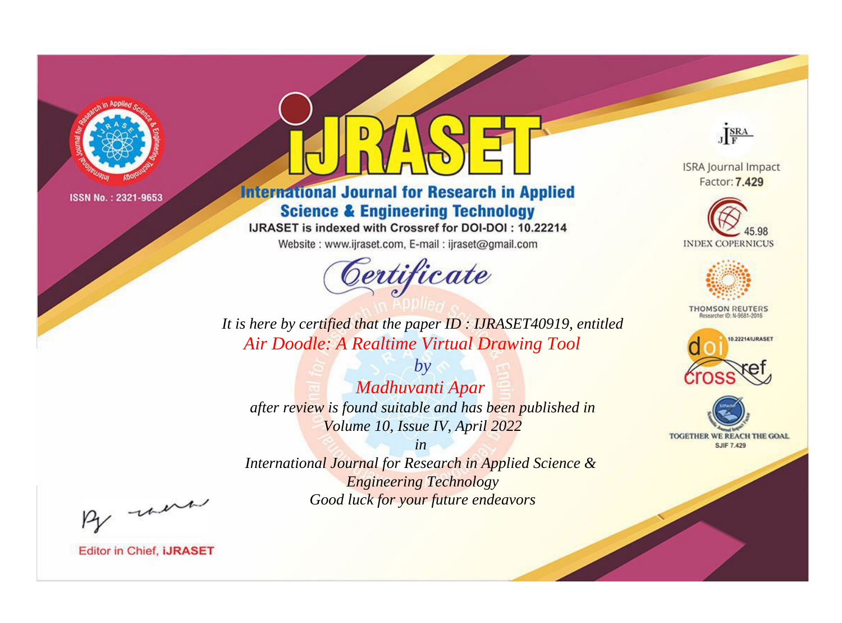

# **International Journal for Research in Applied Science & Engineering Technology**

IJRASET is indexed with Crossref for DOI-DOI: 10.22214

Website: www.ijraset.com, E-mail: ijraset@gmail.com



JERA

**ISRA Journal Impact** Factor: 7.429





**THOMSON REUTERS** 



TOGETHER WE REACH THE GOAL **SJIF 7.429** 

*It is here by certified that the paper ID : IJRASET40919, entitled Air Doodle: A Realtime Virtual Drawing Tool*

*by Madhuvanti Apar after review is found suitable and has been published in Volume 10, Issue IV, April 2022*

*in* 

*International Journal for Research in Applied Science & Engineering Technology Good luck for your future endeavors*

By morn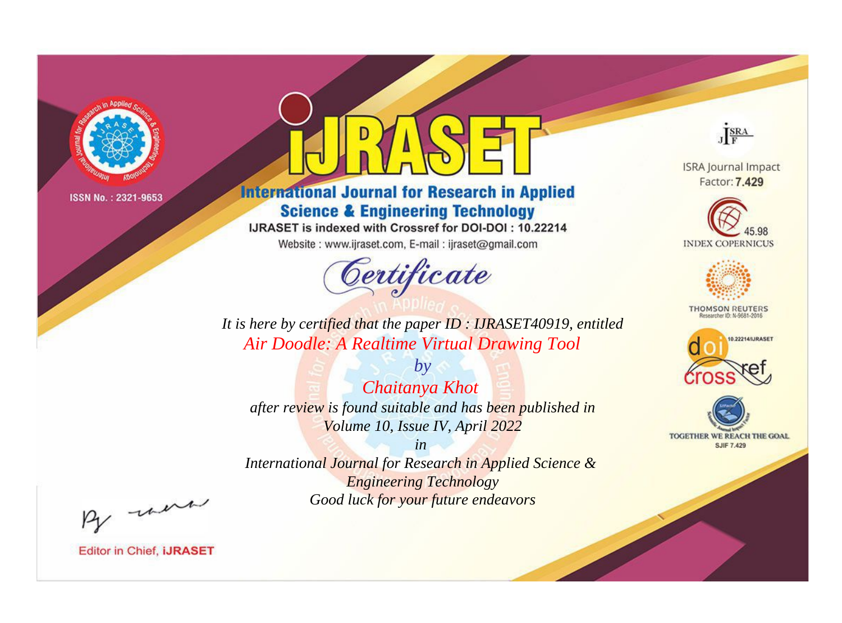

# **International Journal for Research in Applied Science & Engineering Technology**

IJRASET is indexed with Crossref for DOI-DOI: 10.22214

Website: www.ijraset.com, E-mail: ijraset@gmail.com



JERA

**ISRA Journal Impact** Factor: 7.429





**THOMSON REUTERS** 



TOGETHER WE REACH THE GOAL **SJIF 7.429** 

It is here by certified that the paper ID: IJRASET40919, entitled **Air Doodle: A Realtime Virtual Drawing Tool** 

Chaitanya Khot after review is found suitable and has been published in Volume 10, Issue IV, April 2022

 $by$ 

 $in$ International Journal for Research in Applied Science & **Engineering Technology** Good luck for your future endeavors

By morn